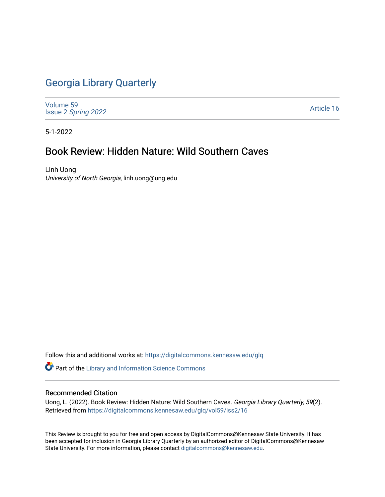## [Georgia Library Quarterly](https://digitalcommons.kennesaw.edu/glq)

[Volume 59](https://digitalcommons.kennesaw.edu/glq/vol59) Issue 2 [Spring 2022](https://digitalcommons.kennesaw.edu/glq/vol59/iss2) 

[Article 16](https://digitalcommons.kennesaw.edu/glq/vol59/iss2/16) 

5-1-2022

## Book Review: Hidden Nature: Wild Southern Caves

Linh Uong University of North Georgia, linh.uong@ung.edu

Follow this and additional works at: [https://digitalcommons.kennesaw.edu/glq](https://digitalcommons.kennesaw.edu/glq?utm_source=digitalcommons.kennesaw.edu%2Fglq%2Fvol59%2Fiss2%2F16&utm_medium=PDF&utm_campaign=PDFCoverPages) 

Part of the [Library and Information Science Commons](http://network.bepress.com/hgg/discipline/1018?utm_source=digitalcommons.kennesaw.edu%2Fglq%2Fvol59%2Fiss2%2F16&utm_medium=PDF&utm_campaign=PDFCoverPages) 

## Recommended Citation

Uong, L. (2022). Book Review: Hidden Nature: Wild Southern Caves. Georgia Library Quarterly, 59(2). Retrieved from [https://digitalcommons.kennesaw.edu/glq/vol59/iss2/16](https://digitalcommons.kennesaw.edu/glq/vol59/iss2/16?utm_source=digitalcommons.kennesaw.edu%2Fglq%2Fvol59%2Fiss2%2F16&utm_medium=PDF&utm_campaign=PDFCoverPages) 

This Review is brought to you for free and open access by DigitalCommons@Kennesaw State University. It has been accepted for inclusion in Georgia Library Quarterly by an authorized editor of DigitalCommons@Kennesaw State University. For more information, please contact [digitalcommons@kennesaw.edu.](mailto:digitalcommons@kennesaw.edu)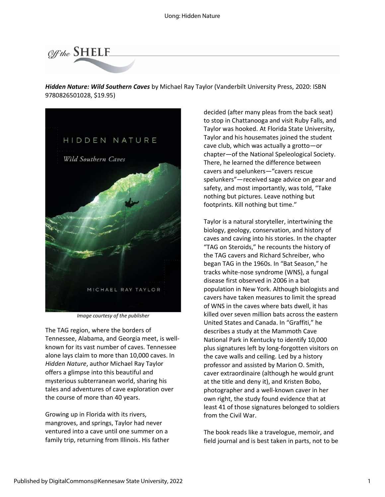

*Hidden Nature: Wild Southern Caves* by Michael Ray Taylor (Vanderbilt University Press, 2020: ISBN 9780826501028, \$19.95)



*Image courtesy of the publisher*

The TAG region, where the borders of Tennessee, Alabama, and Georgia meet, is wellknown for its vast number of caves. Tennessee alone lays claim to more than 10,000 caves. In *Hidden Nature*, author Michael Ray Taylor offers a glimpse into this beautiful and mysterious subterranean world, sharing his tales and adventures of cave exploration over the course of more than 40 years.

Growing up in Florida with its rivers, mangroves, and springs, Taylor had never ventured into a cave until one summer on a family trip, returning from Illinois. His father

decided (after many pleas from the back seat) to stop in Chattanooga and visit Ruby Falls, and Taylor was hooked. At Florida State University, Taylor and his housemates joined the student cave club, which was actually a grotto—or chapter—of the National Speleological Society. There, he learned the difference between cavers and spelunkers—"cavers rescue spelunkers"—received sage advice on gear and safety, and most importantly, was told, "Take nothing but pictures. Leave nothing but footprints. Kill nothing but time."

Taylor is a natural storyteller, intertwining the biology, geology, conservation, and history of caves and caving into his stories. In the chapter "TAG on Steroids," he recounts the history of the TAG cavers and Richard Schreiber, who began TAG in the 1960s. In "Bat Season," he tracks white-nose syndrome (WNS), a fungal disease first observed in 2006 in a bat population in New York. Although biologists and cavers have taken measures to limit the spread of WNS in the caves where bats dwell, it has killed over seven million bats across the eastern United States and Canada. In "Graffiti," he describes a study at the Mammoth Cave National Park in Kentucky to identify 10,000 plus signatures left by long-forgotten visitors on the cave walls and ceiling. Led by a history professor and assisted by Marion O. Smith, caver extraordinaire (although he would grunt at the title and deny it), and Kristen Bobo, photographer and a well-known caver in her own right, the study found evidence that at least 41 of those signatures belonged to soldiers from the Civil War.

The book reads like a travelogue, memoir, and field journal and is best taken in parts, not to be